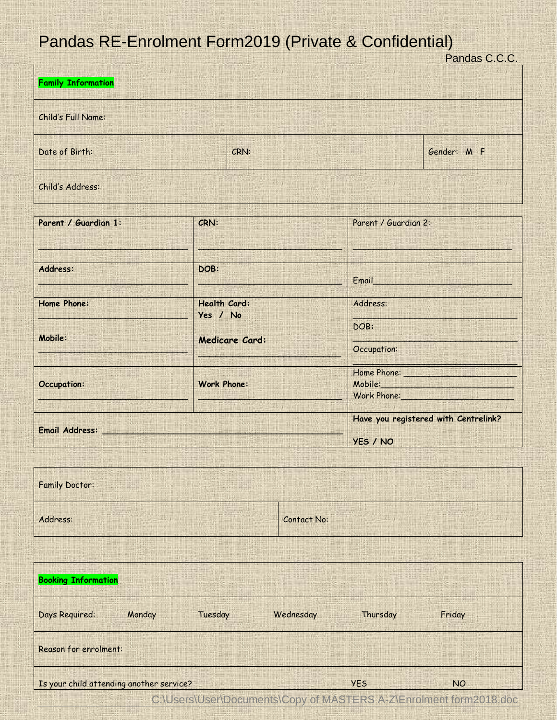## Pandas RE-Enrolment Form2019 (Private & Confidential)

| <u><b><i>Chado</i></b> is chromomer of the only intrate a confidential</u> |                |                                           |             |                                                                                                                                           | Pandas C.C.C.                        |  |  |  |
|----------------------------------------------------------------------------|----------------|-------------------------------------------|-------------|-------------------------------------------------------------------------------------------------------------------------------------------|--------------------------------------|--|--|--|
| <b>Family Information</b>                                                  |                |                                           |             |                                                                                                                                           |                                      |  |  |  |
| Child's Full Name:                                                         |                |                                           |             |                                                                                                                                           |                                      |  |  |  |
| Date of Birth:<br>CRN:                                                     |                |                                           |             | Gender: M F                                                                                                                               |                                      |  |  |  |
| Child's Address:                                                           |                |                                           |             |                                                                                                                                           |                                      |  |  |  |
| Parent / Guardian 1:                                                       |                | CRN:                                      |             | Parent / Guardian 2:                                                                                                                      |                                      |  |  |  |
|                                                                            |                |                                           |             |                                                                                                                                           |                                      |  |  |  |
| Address:                                                                   |                | DOB:                                      |             | Email and the contract of the contract of                                                                                                 |                                      |  |  |  |
| Home Phone:                                                                |                | Health Card:                              |             | Address:                                                                                                                                  |                                      |  |  |  |
|                                                                            |                | Yes / No                                  |             | DOB:                                                                                                                                      |                                      |  |  |  |
| Mobile:                                                                    | Medicare Card: |                                           |             | Occupation:                                                                                                                               |                                      |  |  |  |
| <b>Occupation:</b>                                                         |                | <b>Work Phone:</b>                        |             | Home Phone: New York Wallen Wallen<br>Mobile: Website: Website: Website: Website: Website: Website: Website: Website: Website: Website: W |                                      |  |  |  |
|                                                                            |                |                                           |             | Work Phone:                                                                                                                               |                                      |  |  |  |
|                                                                            |                |                                           |             |                                                                                                                                           | Have you registered with Centrelink? |  |  |  |
| Email Address: Email                                                       |                |                                           |             | YES / NO                                                                                                                                  |                                      |  |  |  |
|                                                                            |                |                                           |             |                                                                                                                                           |                                      |  |  |  |
| <b>Family Doctor:</b>                                                      |                |                                           |             |                                                                                                                                           |                                      |  |  |  |
| Address:                                                                   |                |                                           | Contact No: |                                                                                                                                           |                                      |  |  |  |
|                                                                            |                |                                           |             |                                                                                                                                           |                                      |  |  |  |
| <b>Booking Information</b>                                                 |                |                                           |             |                                                                                                                                           |                                      |  |  |  |
| Days Required:                                                             | Monday         | Tuesday                                   | Wednesday   | Thursday                                                                                                                                  | Friday                               |  |  |  |
| <b>Reason for enrolment:</b>                                               |                |                                           |             |                                                                                                                                           |                                      |  |  |  |
| Is your child attending another service?                                   |                |                                           | <b>YES</b>  | <b>NO</b>                                                                                                                                 |                                      |  |  |  |
|                                                                            |                | C:\Users\User\Documents\Copy of MASTERS A |             |                                                                                                                                           | Z\Enrolment form2018.doc             |  |  |  |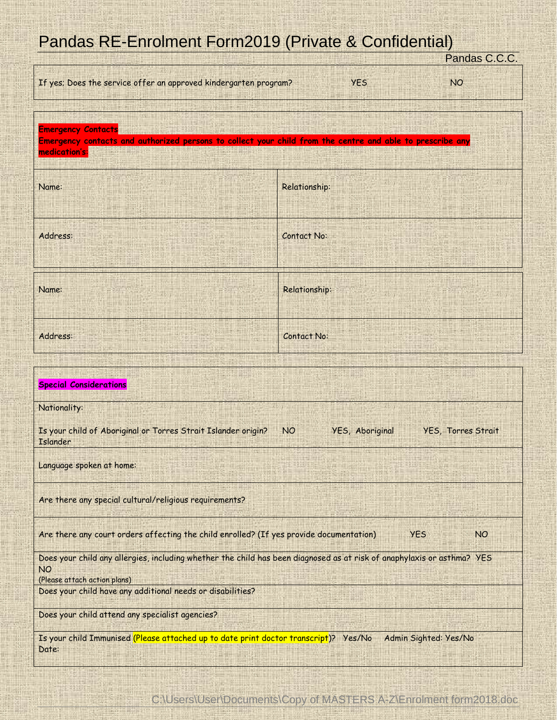## Pandas RE-Enrolment Form2019 (Private & Confidential)

|                                                                                                                                               | Pandas C.C.C.      |  |  |  |  |
|-----------------------------------------------------------------------------------------------------------------------------------------------|--------------------|--|--|--|--|
| If yes; Does the service offer an approved kindergarten program?                                                                              | <b>YES</b><br>NO.  |  |  |  |  |
|                                                                                                                                               |                    |  |  |  |  |
| <b>Emergency Contacts</b>                                                                                                                     |                    |  |  |  |  |
| Emergency contacts and authorized persons to collect your child from the centre and able to prescribe any                                     |                    |  |  |  |  |
| medication's:                                                                                                                                 |                    |  |  |  |  |
| Name:                                                                                                                                         | Relationship:      |  |  |  |  |
|                                                                                                                                               |                    |  |  |  |  |
|                                                                                                                                               |                    |  |  |  |  |
| Address:                                                                                                                                      | <b>Contact No:</b> |  |  |  |  |
|                                                                                                                                               |                    |  |  |  |  |
|                                                                                                                                               |                    |  |  |  |  |
|                                                                                                                                               |                    |  |  |  |  |
| Name:                                                                                                                                         | Relationship:      |  |  |  |  |
|                                                                                                                                               |                    |  |  |  |  |
| Address:                                                                                                                                      | Contact No:        |  |  |  |  |
|                                                                                                                                               |                    |  |  |  |  |
|                                                                                                                                               |                    |  |  |  |  |
| <b>Special Considerations</b>                                                                                                                 |                    |  |  |  |  |
|                                                                                                                                               |                    |  |  |  |  |
| Nationality:                                                                                                                                  |                    |  |  |  |  |
| Is your child of Aboriginal or Torres Strait Islander origin?<br>YES, Aboriginal<br><b>NO</b><br><b>YES, Torres Strait</b><br><b>Islander</b> |                    |  |  |  |  |
|                                                                                                                                               |                    |  |  |  |  |
| Language spoken at home:                                                                                                                      |                    |  |  |  |  |
|                                                                                                                                               |                    |  |  |  |  |
| Are there any special cultural/religious requirements?                                                                                        |                    |  |  |  |  |
|                                                                                                                                               |                    |  |  |  |  |
| Are there any court orders affecting the child enrolled? (If yes provide documentation)<br><b>YES</b><br><b>NO</b>                            |                    |  |  |  |  |
| Does your child any allergies, including whether the child has been diagnosed as at risk of anaphylaxis or asthma? YES                        |                    |  |  |  |  |
| <b>NO</b>                                                                                                                                     |                    |  |  |  |  |
| (Please attach action plans)<br>Does your child have any additional needs or disabilities?                                                    |                    |  |  |  |  |
|                                                                                                                                               |                    |  |  |  |  |
| Does your child attend any specialist agencies?                                                                                               |                    |  |  |  |  |
| Is your child Immunised (Please attached up to date print doctor transcript)? Yes/No<br>Admin Sighted: Yes/No                                 |                    |  |  |  |  |
| Date:                                                                                                                                         |                    |  |  |  |  |
|                                                                                                                                               |                    |  |  |  |  |

C:\Users\User\Documents\Copy of MASTERS A-Z\Enrolment form2018.doc